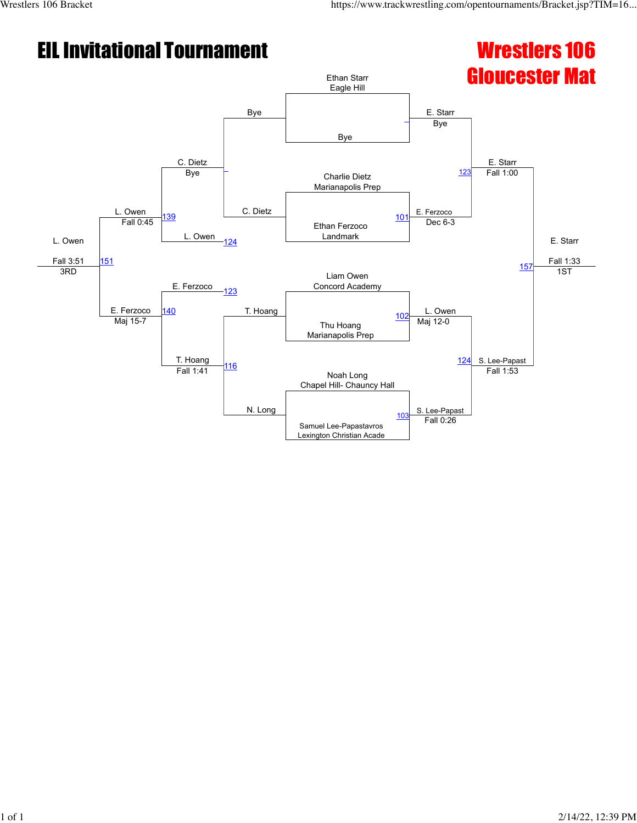#### EIL Invitational Tournament Wrestlers 106 Gloucester Mat L. Owen Fall 3:51 L. Owen C. Dietz Bye Ethan Starr Eagle Hill E. Starr E. Starr E. Starr Fall 1:33 Bye  $\overline{\phantom{a}}$  $\overline{\phantom{a}}$ C. Dietz Bye Charlie Dietz Marianapolis Prep Bye E. Ferzoco [123](javascript:openBoutSheet(5,) Fall 1:00 [139](javascript:openBoutSheet(9,) L. Owen Ethan Ferzoco Landmark [101](javascript:openBoutSheet(2,) [151](javascript:openBoutSheet(12,) Fall 0:45 [124](javascript:openBoutSheet(7,) Dec 6-3 [157](javascript:openBoutSheet(11,) E. Ferzoco Liam Owen Concord Academy 3RD E. Ferzoco<br>Maj 15-7 [123](javascript:openBoutSheet(5,) T. Hoang L. Owen 1ST [140](javascript:openBoutSheet(10,) Thu Hoang Marianapolis Prep <u>[102](javascript:openBoutSheet(3,)</u><br>Maj 15-7 **Maj 16-7** Maj 16-7 **Maj 16-8 Maj 16-8 Maj 16-8 Maj 16-8 Maj 16-8 Maj 16-8 Maj 16-8 Maj 16-8 Maj 16-8 M**  $\frac{10000}{\frac{10000}{2144}}$  [116](javascript:openBoutSheet(8,) N. Long Maj 12-0 [124](javascript:openBoutSheet(7,) S. Lee-Papast Noah Long Chapel Hill- Chauncy Hall Fall 1:41 S. Lee-Papast Fall 1:53 Samuel Lee-Papastavros Lexington Christian Acade <u>[103](javascript:openBoutSheet(4,) S. Lee-Papa</u><br>Fall 0:26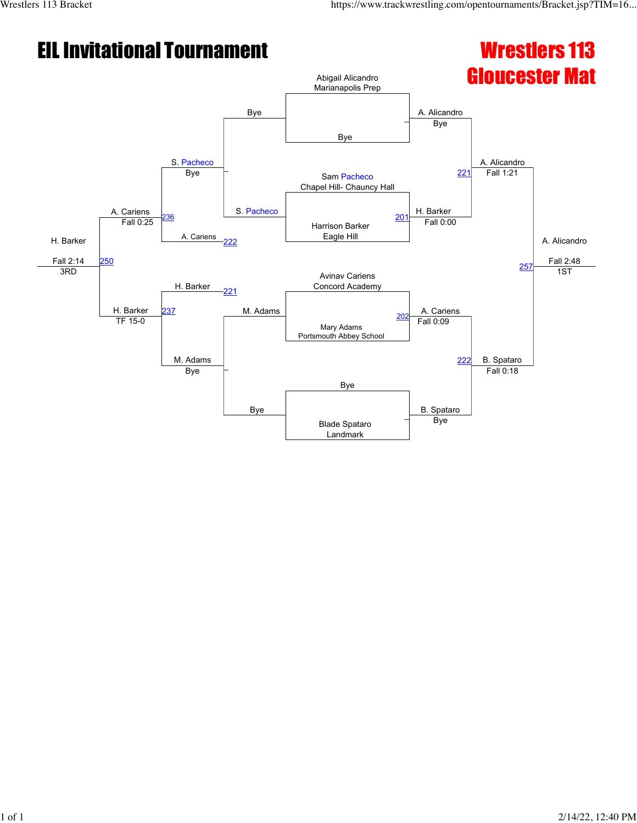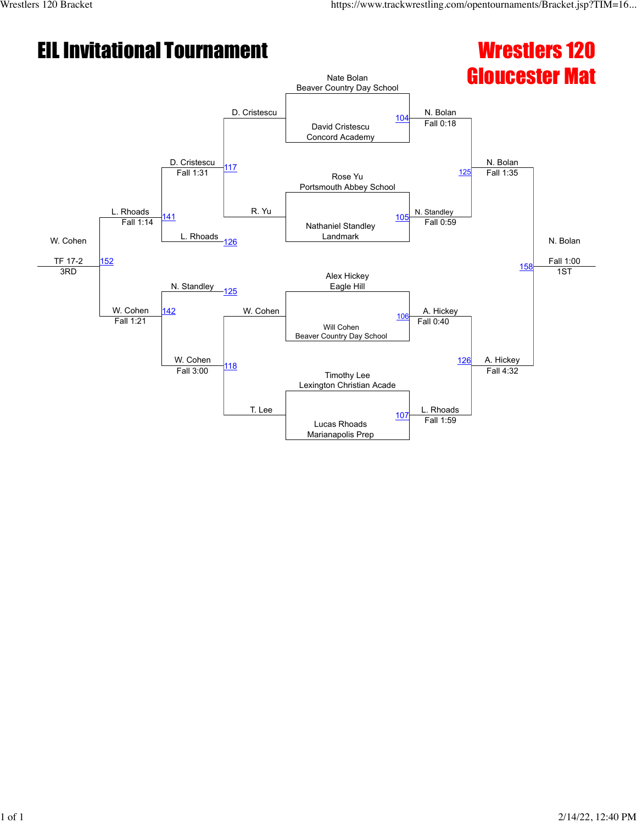#### EIL Invitational Tournament Wrestlers 120 Gloucester Mat W. Cohen TF 17-2 L. Rhoads D. Cristescu D. Cristescu Nate Bolan Beaver Country Day School N. Bolan N. Bolan N. Bolan Fall 1:00 David Cristescu Concord Academy [104](javascript:openBoutSheet(1,) [117](javascript:openBoutSheet(6,) R. Yu Fall 0:18 Rose Yu Portsmouth Abbey School Fall 1:31 N. Standley [125](javascript:openBoutSheet(5,) Fall 1:35 [141](javascript:openBoutSheet(9,) L. Rhoads Nathaniel Standley Landmark [105](javascript:openBoutSheet(2,) [152](javascript:openBoutSheet(12,) Fall 1:14 [126](javascript:openBoutSheet(7,) Fall 0:59 [158](javascript:openBoutSheet(11,) N. Standley Alex Hickey Eagle Hill 3RD W. Cohen<br>Fall 1:21 [125](javascript:openBoutSheet(5,) W. Cohen  $\begin{array}{c|c}\n\hline\nA. Hickey \\
\hline\n\end{array}$ 1ST [142](javascript:openBoutSheet(10,) Will Cohen Beaver Country Day School <u>[106](javascript:openBoutSheet(3,)</u><br>Fall 1:21 **Fall 1:21 Fall 1:21 Fall 1:21 Fall 1:21** W. Cohen [118](javascript:openBoutSheet(8,) T. Lee Fall 0:40 [126](javascript:openBoutSheet(7,) A. Hickey Timothy Lee Lexington Christian Acade Fall 3:00 L. Rhoads Fall 4:32 Lucas Rhoads Marianapolis Prep [107](javascript:openBoutSheet(4,) Fall 1:59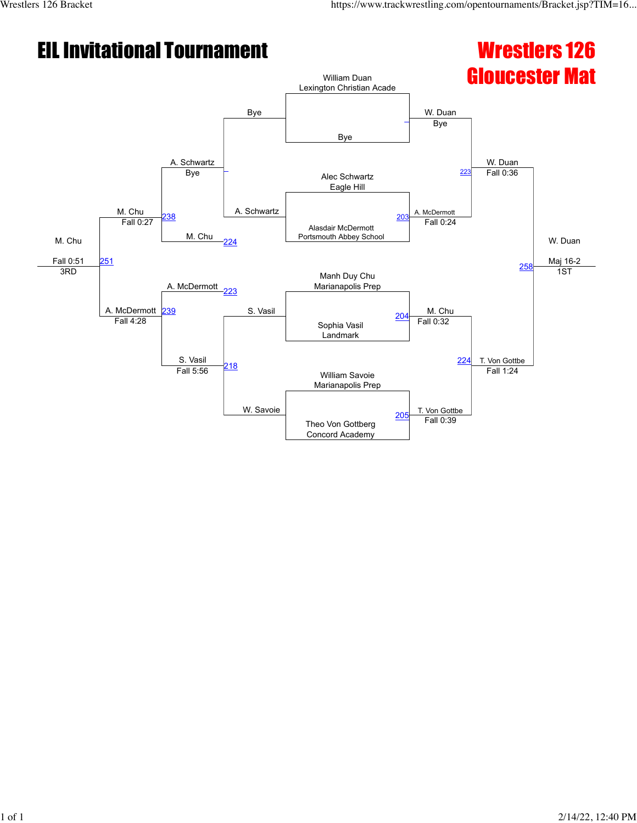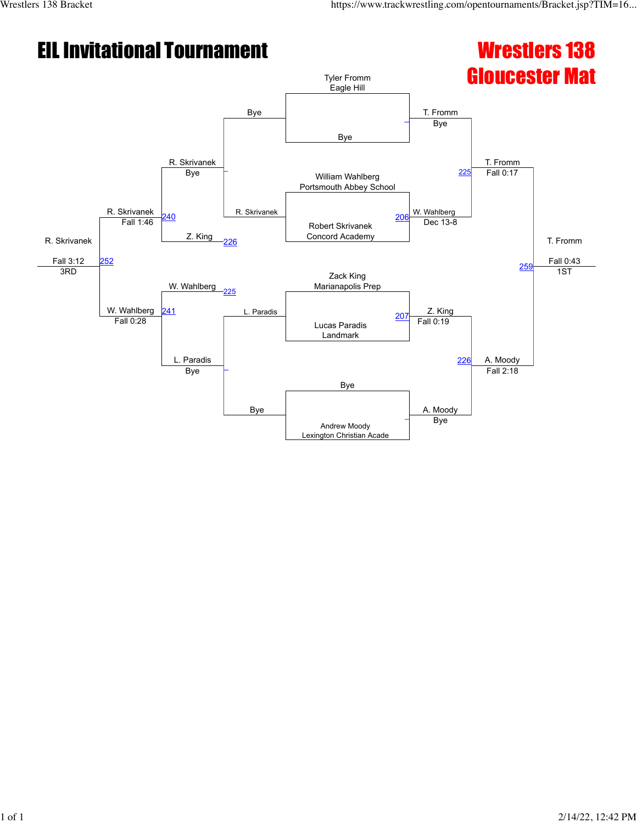## EIL Invitational Tournament Wrestlers 138

## Gloucester Mat

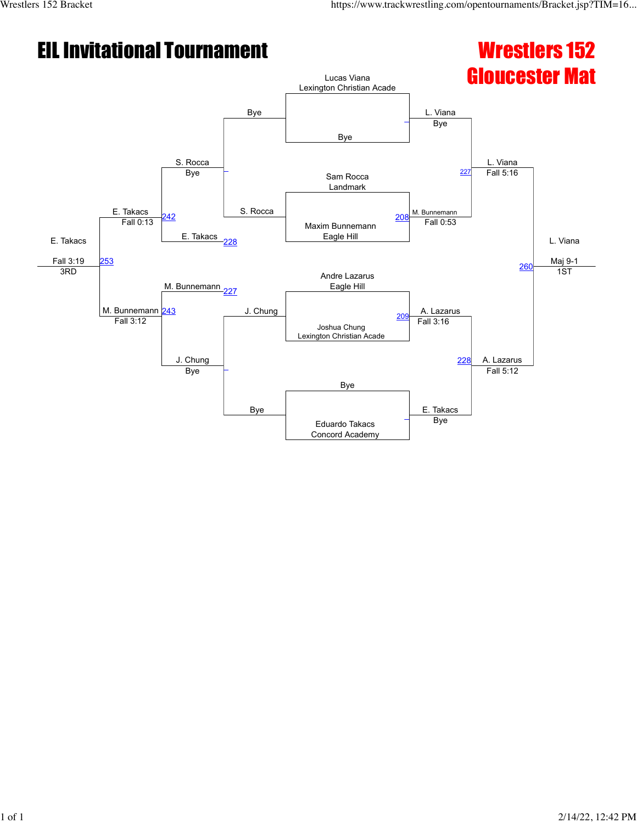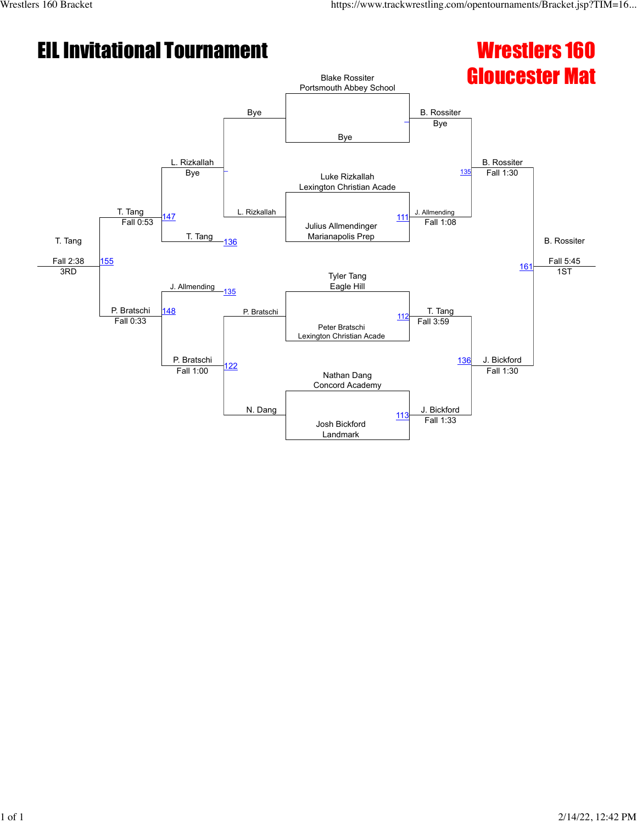#### EIL Invitational Tournament Wrestlers 160 Gloucester Mat T. Tang Fall 2:38 T. Tang L. Rizkallah Bye Blake Rossiter Portsmouth Abbey School B. Rossiter B. Rossiter B. Rossiter Fall 5:45 Bye  $\overline{\phantom{a}}$ L. Rizkallah Bye Luke Rizkallah Lexington Christian Acade Bye J. Allmending [135](javascript:openBoutSheet(5,) Fall 1:30 [147](javascript:openBoutSheet(9,) T. Tang Julius Allmendinger Marianapolis Prep [111](javascript:openBoutSheet(2,) [155](javascript:openBoutSheet(12,) Fall 0:53 [136](javascript:openBoutSheet(7,) Fall 1:08 [161](javascript:openBoutSheet(11,) J. Allmending<br>[135](javascript:openBoutSheet(5,) Tyler Tang Eagle Hill 3RD P. Bratschi<br>Fall 0:33 P. Bratschi T. Tang 1ST [148](javascript:openBoutSheet(10,) Peter Bratschi Lexington Christian Acade <u>[112](javascript:openBoutSheet(3,)</u><br>Fall 0:33 **Fall 0:33** P. Bratschi [122](javascript:openBoutSheet(8,) N. Dang Fall 3:59 [136](javascript:openBoutSheet(7,) J. Bickford Nathan Dang Concord Academy Fall 1:00 J. Bickford Fall 1:30 Josh Bickford Landmark <u>[113](javascript:openBoutSheet(4,) **Fall**</u> 1:33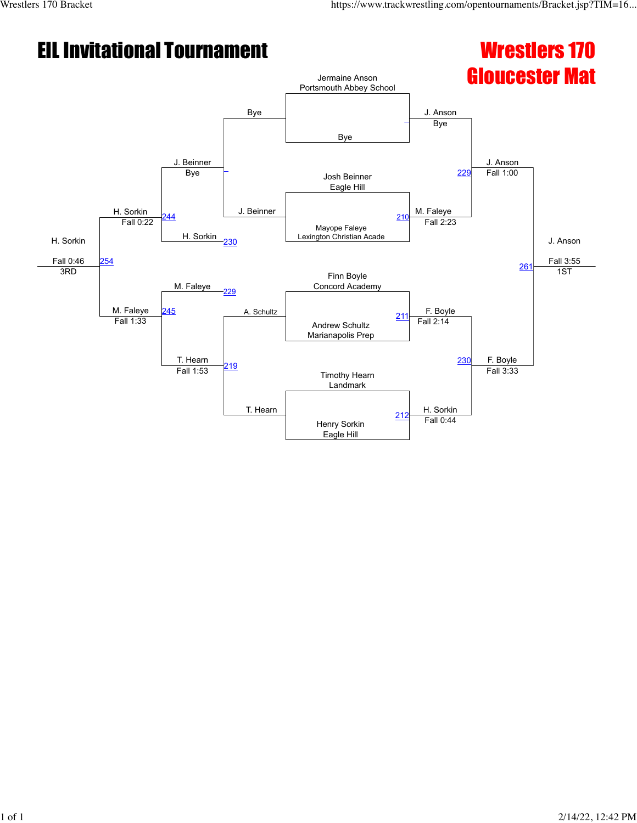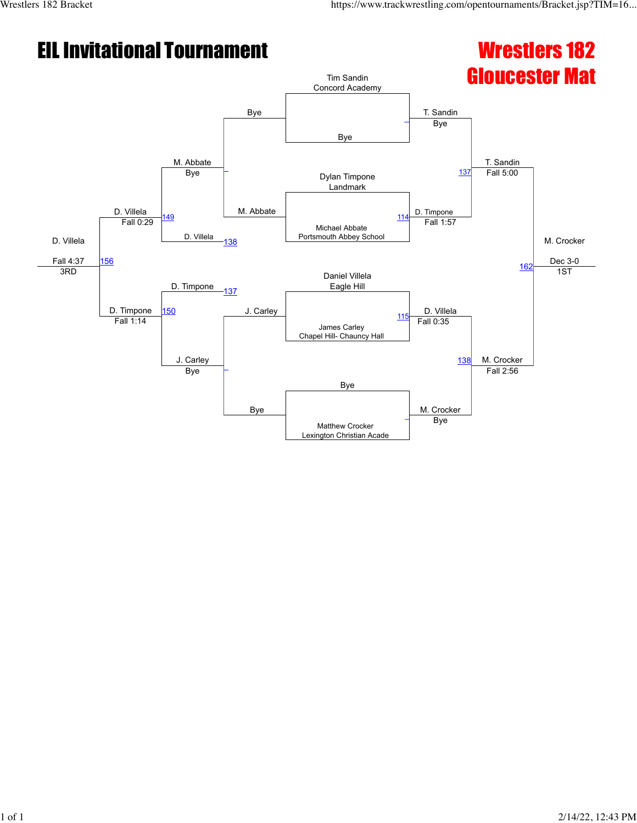#### EIL Invitational Tournament Wrestlers 182 Gloucester Mat D. Villela Fall 4:37 D. Villela M. Abbate Bye Tim Sandin Concord Academy T. Sandin T. Sandin M. Crocker Dec 3-0 Bye  $\overline{\phantom{a}}$  $\overline{\phantom{a}}$ M. Abbate Bye Dylan Timpone Landmark Bye D. Timpone [137](javascript:openBoutSheet(5,) Fall 5:00 [149](javascript:openBoutSheet(9,) D. Villela Michael Abbate Portsmouth Abbey School [114](javascript:openBoutSheet(2,) [156](javascript:openBoutSheet(12,) Fall 0:29 [138](javascript:openBoutSheet(7,) Fall 1:57 [162](javascript:openBoutSheet(11,) D. Timpone Daniel Villela Eagle Hill 3RD D. Timpone<br>Fall 1:14 [137](javascript:openBoutSheet(5,) J. Carley D. Villela 2001 1ST [150](javascript:openBoutSheet(10,) James Carley Chapel Hill- Chauncy Hall <u>[115](javascript:openBoutSheet(3,)</u><br>Fall 1:14 **Fall 1:14 Fall 1:14 Fall 1:14** J. Carley Bye Fall 0:35 [138](javascript:openBoutSheet(7,) M. Crocker Bye Bye M. Crocker Fall 2:56 Matthew Crocker Lexington Christian Acade [\\_](javascript:openBoutSheet(4,) Bye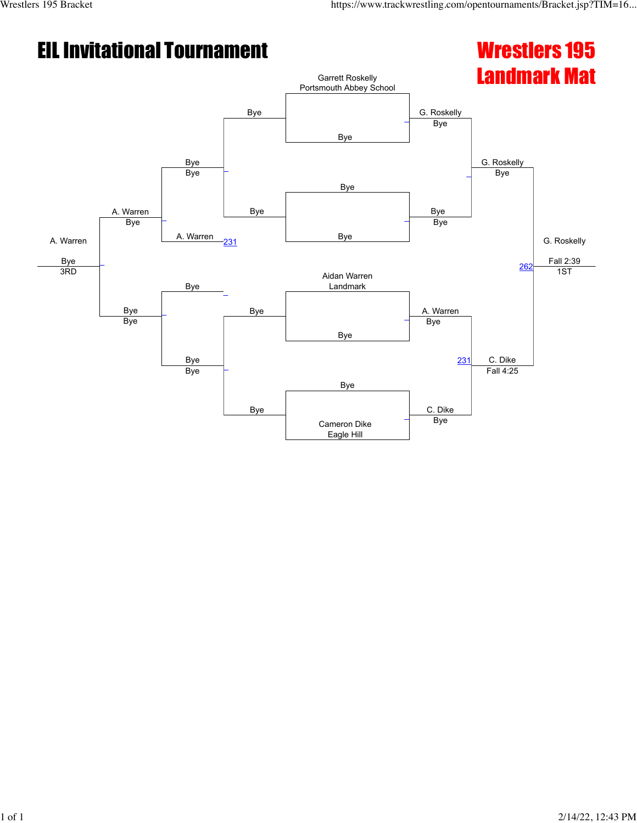#### EIL Invitational Tournament Wrestlers 195 Landmark Mat A. Warren Bye A. Warren Bye Bye Garrett Roskelly Portsmouth Abbey School G. Roskelly G. Roskelly G. Roskelly Fall 2:39 Bye  $\overline{\phantom{a}}$  $\overline{\phantom{a}}$ Bye Bye Bye Bye Bye [\\_](javascript:openBoutSheet(5,) Bye  $\overline{\phantom{a}}$ A. Warren  $\overline{a}$   $\overline{b}$  Bye  $\overline{\phantom{a}}$  $\overline{\phantom{a}}$ Bye [231](javascript:openBoutSheet(7,) Bye [262](javascript:openBoutSheet(11,) Bye Aidan Warren Landmark 3RD Bye  $\overline{\phantom{a}}$ Bye A. Warren 1ST  $\overline{\phantom{a}}$ Bye  $\frac{By}{y}$   $\frac{By}{y}$   $\frac{By}{y}$   $\frac{By}{y}$   $\frac{By}{y}$ Bye [\\_](javascript:openBoutSheet(8,) Bye Bye [231](javascript:openBoutSheet(7,) C. Dike Bye Bye C. Dike Fall 4:25 Cameron Dike Eagle Hill [\\_](javascript:openBoutSheet(4,) Bye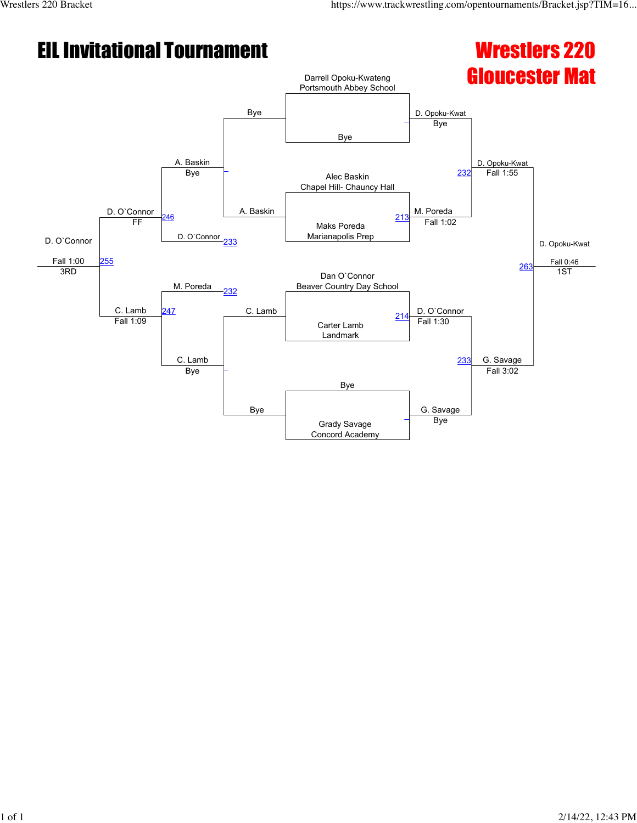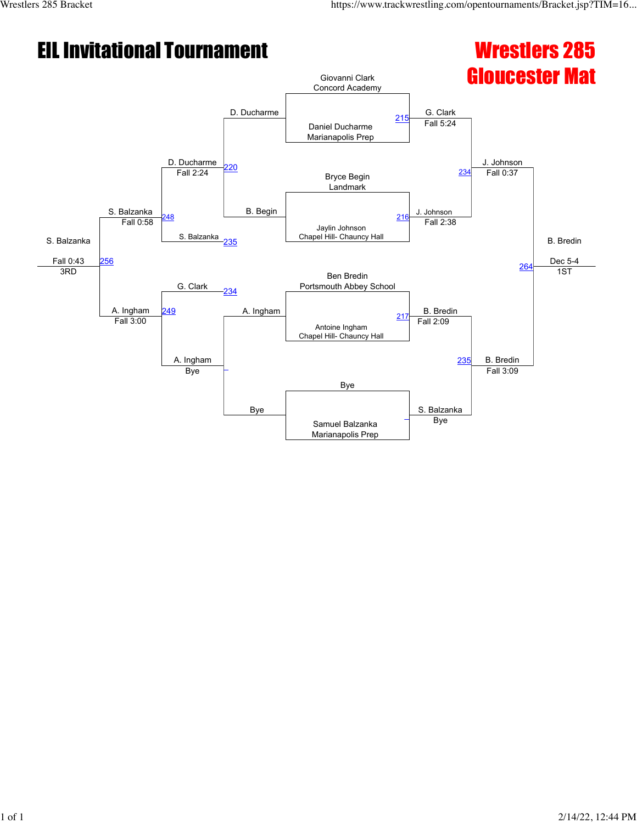## EIL Invitational Tournament Wrestlers 285

# Gloucester Mat